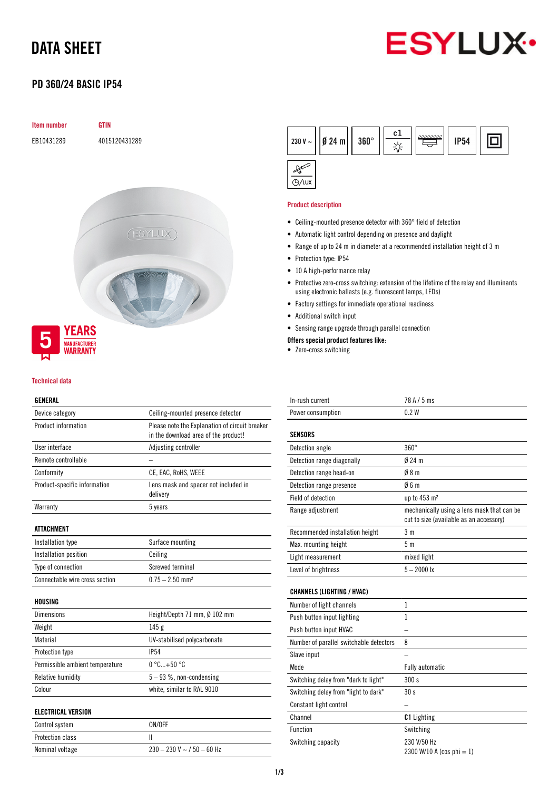## DATA SHEET



## PD 360/24 BASIC IP54

# Item number GTIN EB10431289 4015120431289 (ESYLUX)



#### Technical data

## GENERAL

| Device category                 | Ceiling-mounted presence detector                                                                              |  |  |  |
|---------------------------------|----------------------------------------------------------------------------------------------------------------|--|--|--|
| Product information             | Please note the Explanation of circuit breaker<br>in the download area of the product!<br>Adjusting controller |  |  |  |
| User interface                  |                                                                                                                |  |  |  |
| Remote controllable             |                                                                                                                |  |  |  |
| Conformity                      | CE, EAC, RoHS, WEEE<br>Lens mask and spacer not included in<br>delivery                                        |  |  |  |
| Product-specific information    |                                                                                                                |  |  |  |
| Warranty                        | 5 years                                                                                                        |  |  |  |
| ATTACHMENT                      |                                                                                                                |  |  |  |
| Installation type               | Surface mounting                                                                                               |  |  |  |
| Installation position           | Ceiling                                                                                                        |  |  |  |
| Type of connection              | Screwed terminal                                                                                               |  |  |  |
| Connectable wire cross section  | $0.75 - 2.50$ mm <sup>2</sup>                                                                                  |  |  |  |
| HOUSING                         |                                                                                                                |  |  |  |
| <b>Dimensions</b>               | Height/Depth 71 mm, Ø 102 mm                                                                                   |  |  |  |
| Weight                          | 145g                                                                                                           |  |  |  |
| Material                        | UV-stabilised polycarbonate                                                                                    |  |  |  |
| Protection type                 | <b>IP54</b>                                                                                                    |  |  |  |
| Permissible ambient temperature | $0^{\circ}$ C+50 $^{\circ}$ C                                                                                  |  |  |  |
| Relative humidity               | $5 - 93$ %, non-condensing                                                                                     |  |  |  |
| Colour                          | white, similar to RAL 9010                                                                                     |  |  |  |
| <b>ELECTRICAL VERSION</b>       |                                                                                                                |  |  |  |
| Control system                  | ON/OFF                                                                                                         |  |  |  |
| <b>Protection class</b>         | Ш                                                                                                              |  |  |  |
| Nominal voltage                 | $230 - 230$ V ~ / 50 - 60 Hz                                                                                   |  |  |  |



### Product description

- Ceiling-mounted presence detector with 360° field of detection
- Automatic light control depending on presence and daylight
- Range of up to 24 m in diameter at a recommended installation height of 3 m
- Protection type: IP54
- 10 A high-performance relay
- Protective zero-cross switching: extension of the lifetime of the relay and illuminants using electronic ballasts (e.g. fluorescent lamps, LEDs)
- Factory settings for immediate operational readiness
- Additional switch input
- Sensing range upgrade through parallel connection
- Offers special product features like:
- Zero-cross switching

| In-rush current                 | 78 A / 5 ms                                                                           |  |  |
|---------------------------------|---------------------------------------------------------------------------------------|--|--|
| Power consumption               | 02W                                                                                   |  |  |
|                                 |                                                                                       |  |  |
| SENSORS                         |                                                                                       |  |  |
| Detection angle                 | $360^\circ$                                                                           |  |  |
| Detection range diagonally      | $024 \text{ m}$                                                                       |  |  |
| Detection range head-on         | 08m                                                                                   |  |  |
| Detection range presence        | Ø6 m                                                                                  |  |  |
| Field of detection              | up to 453 m <sup>2</sup>                                                              |  |  |
| Range adjustment                | mechanically using a lens mask that can be<br>cut to size (available as an accessory) |  |  |
| Recommended installation height | 3 <sub>m</sub>                                                                        |  |  |
| Max. mounting height            | 5 <sub>m</sub>                                                                        |  |  |
| Light measurement               | mixed light                                                                           |  |  |
| Level of brightness             | $5 - 2000$ lx                                                                         |  |  |
|                                 |                                                                                       |  |  |

## CHANNELS (LIGHTING / HVAC)

| Number of light channels                |                                          |
|-----------------------------------------|------------------------------------------|
| Push button input lighting              |                                          |
| Push button input HVAC                  |                                          |
| Number of parallel switchable detectors | 8                                        |
| Slave input                             |                                          |
| Mode                                    | <b>Fully automatic</b>                   |
| Switching delay from "dark to light"    | 300 s                                    |
| Switching delay from "light to dark"    | 30 <sub>s</sub>                          |
| Constant light control                  |                                          |
| Channel                                 | <b>C1</b> Lighting                       |
| Function                                | Switching                                |
| Switching capacity                      | 230 V/50 Hz<br>2300 W/10 A (cos phi = 1) |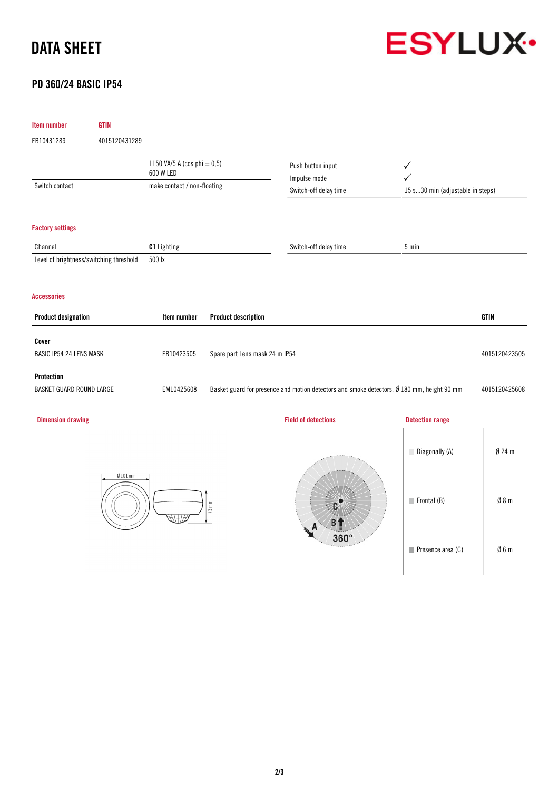## DATA SHEET



## PD 360/24 BASIC IP54

| Item number                   | <b>GTIN</b>                             |                                |                                  |                                                                                            |                        |                                  |  |  |
|-------------------------------|-----------------------------------------|--------------------------------|----------------------------------|--------------------------------------------------------------------------------------------|------------------------|----------------------------------|--|--|
| EB10431289                    | 4015120431289                           |                                |                                  |                                                                                            |                        |                                  |  |  |
|                               |                                         | 1150 VA/5 A (cos phi = $0,5$ ) |                                  | Push button input                                                                          | $\checkmark$           |                                  |  |  |
|                               | 600 W LED                               |                                |                                  | Impulse mode                                                                               | ✓                      |                                  |  |  |
| Switch contact                |                                         | make contact / non-floating    |                                  | Switch-off delay time                                                                      |                        | 15 s30 min (adjustable in steps) |  |  |
|                               |                                         |                                |                                  |                                                                                            |                        |                                  |  |  |
| <b>Factory settings</b>       |                                         |                                |                                  |                                                                                            |                        |                                  |  |  |
| Channel                       |                                         | C1 Lighting                    |                                  | Switch-off delay time                                                                      | 5 min                  |                                  |  |  |
|                               | Level of brightness/switching threshold | 500 lx                         |                                  |                                                                                            |                        |                                  |  |  |
| <b>Accessories</b>            |                                         |                                |                                  |                                                                                            |                        |                                  |  |  |
| <b>Product designation</b>    |                                         | Item number                    | <b>Product description</b>       |                                                                                            |                        | <b>GTIN</b>                      |  |  |
| Cover                         |                                         |                                |                                  |                                                                                            |                        |                                  |  |  |
| BASIC IP54 24 LENS MASK       |                                         | EB10423505                     | Spare part Lens mask 24 m IP54   |                                                                                            |                        | 4015120423505                    |  |  |
| Protection                    |                                         |                                |                                  |                                                                                            |                        |                                  |  |  |
| BASKET GUARD ROUND LARGE      |                                         | EM10425608                     |                                  | Basket guard for presence and motion detectors and smoke detectors, Ø 180 mm, height 90 mm |                        | 4015120425608                    |  |  |
| <b>Dimension drawing</b>      |                                         |                                |                                  | <b>Field of detections</b>                                                                 | <b>Detection range</b> |                                  |  |  |
|                               |                                         |                                |                                  |                                                                                            | Diagonally (A)         | $Ø$ 24 m                         |  |  |
| $Ø$ 101 mm<br>$73 \text{ mm}$ |                                         | 360°                           | $\blacksquare$ Frontal (B)       | Ø 8 m                                                                                      |                        |                                  |  |  |
|                               |                                         |                                | $\blacksquare$ Presence area (C) | Ø6m                                                                                        |                        |                                  |  |  |